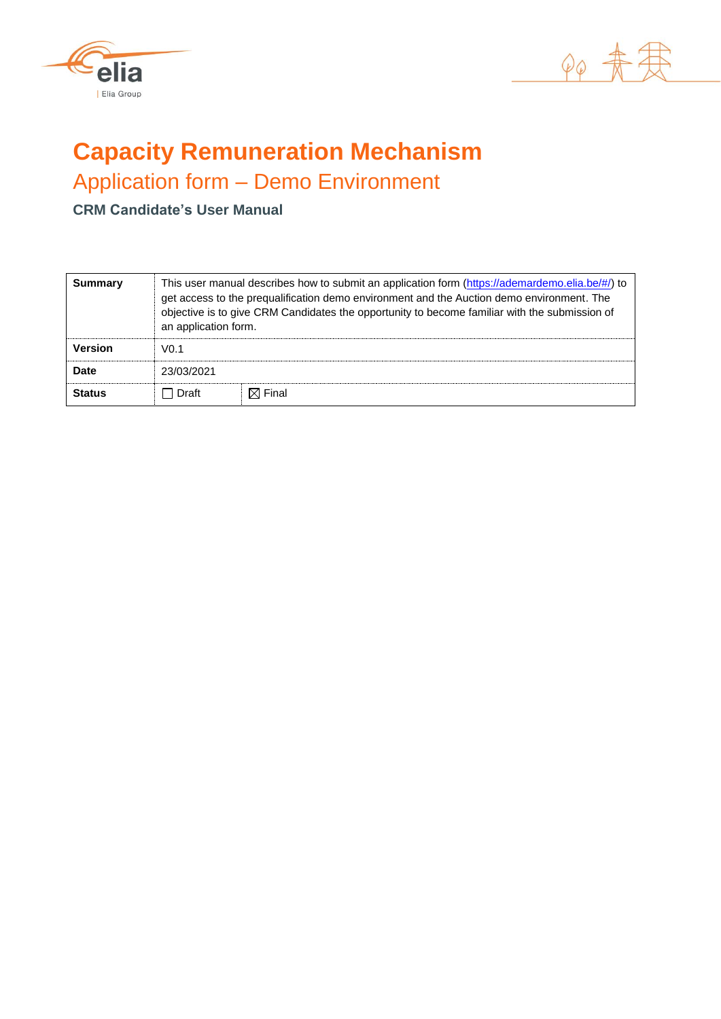



# **Capacity Remuneration Mechanism**

Application form – Demo Environment

**CRM Candidate's User Manual**

| <b>Summary</b> | This user manual describes how to submit an application form (https://ademardemo.elia.be/#/) to<br>get access to the prequalification demo environment and the Auction demo environment. The<br>objective is to give CRM Candidates the opportunity to become familiar with the submission of<br>an application form. |                   |  |  |  |  |  |  |  |
|----------------|-----------------------------------------------------------------------------------------------------------------------------------------------------------------------------------------------------------------------------------------------------------------------------------------------------------------------|-------------------|--|--|--|--|--|--|--|
| <b>Version</b> | V0.1                                                                                                                                                                                                                                                                                                                  |                   |  |  |  |  |  |  |  |
| Date           | 23/03/2021                                                                                                                                                                                                                                                                                                            |                   |  |  |  |  |  |  |  |
| <b>Status</b>  | Draft                                                                                                                                                                                                                                                                                                                 | $\boxtimes$ Final |  |  |  |  |  |  |  |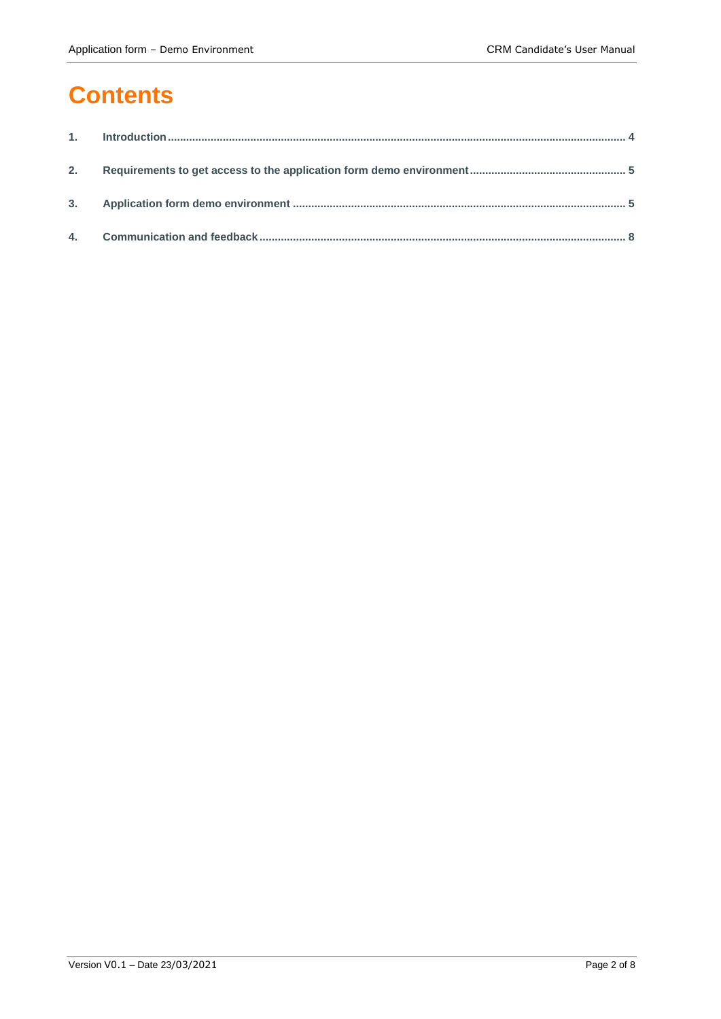## **Contents**

| 2. |  |
|----|--|
|    |  |
|    |  |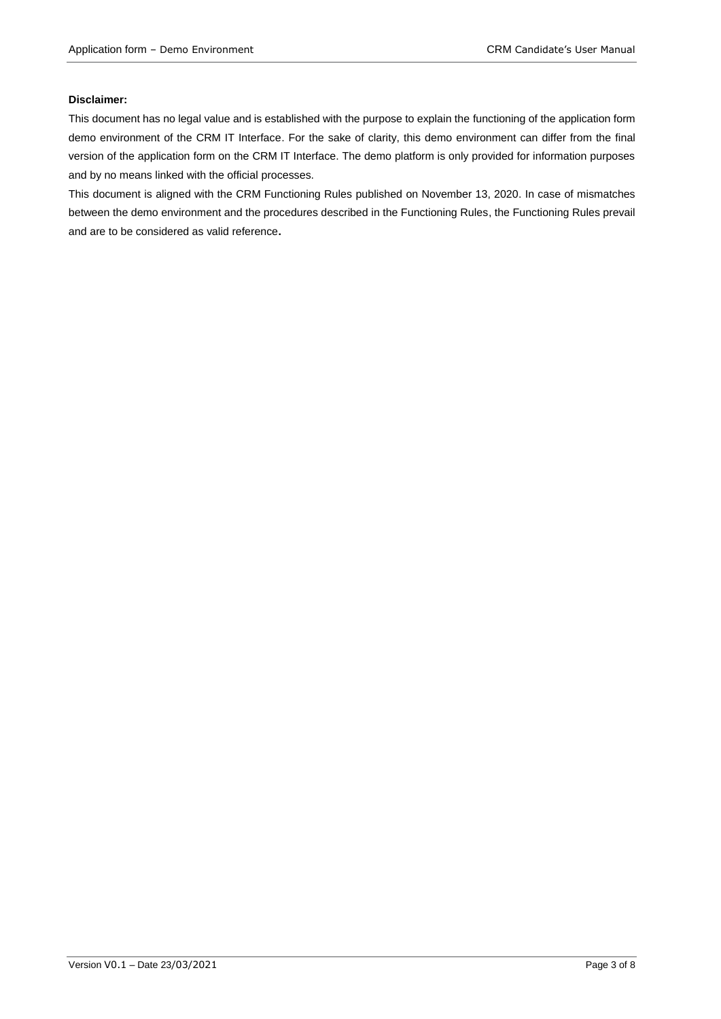#### **Disclaimer:**

This document has no legal value and is established with the purpose to explain the functioning of the application form demo environment of the CRM IT Interface. For the sake of clarity, this demo environment can differ from the final version of the application form on the CRM IT Interface. The demo platform is only provided for information purposes and by no means linked with the official processes.

This document is aligned with the CRM Functioning Rules published on November 13, 2020. In case of mismatches between the demo environment and the procedures described in the Functioning Rules, the Functioning Rules prevail and are to be considered as valid reference**.**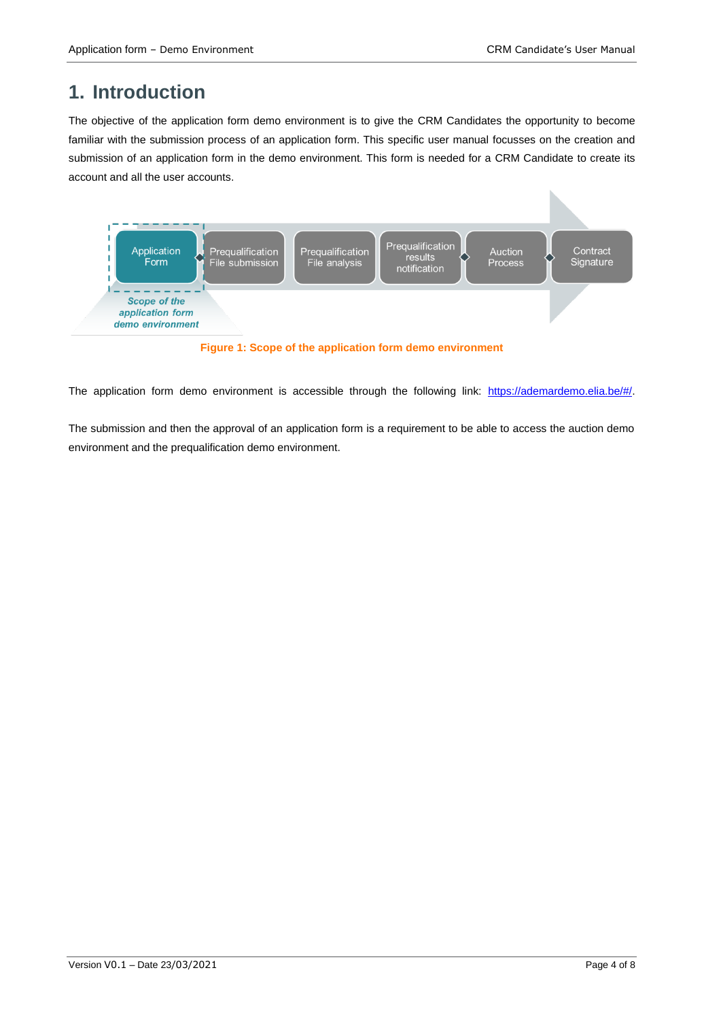### **1. Introduction**

The objective of the application form demo environment is to give the CRM Candidates the opportunity to become familiar with the submission process of an application form. This specific user manual focusses on the creation and submission of an application form in the demo environment. This form is needed for a CRM Candidate to create its account and all the user accounts.



**Figure 1: Scope of the application form demo environment**

The application form demo environment is accessible through the following link: [https://ademardemo.elia.be/#/.](https://ademardemo.elia.be/#/)

The submission and then the approval of an application form is a requirement to be able to access the auction demo environment and the prequalification demo environment.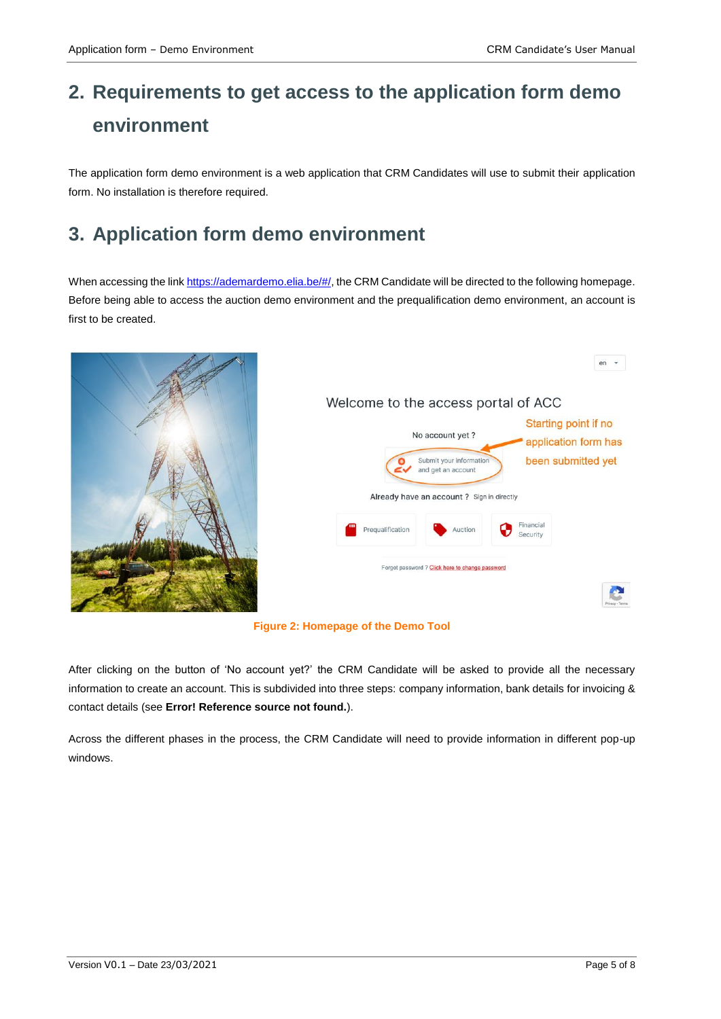## **2. Requirements to get access to the application form demo environment**

The application form demo environment is a web application that CRM Candidates will use to submit their application form. No installation is therefore required.

## **3. Application form demo environment**

When accessing the lin[k https://ademardemo.elia.be/#/,](https://ademardemo.elia.be/#/) the CRM Candidate will be directed to the following homepage. Before being able to access the auction demo environment and the prequalification demo environment, an account is first to be created.







After clicking on the button of 'No account yet?' the CRM Candidate will be asked to provide all the necessary information to create an account. This is subdivided into three steps: company information, bank details for invoicing & contact details (see **Error! Reference source not found.**).

Across the different phases in the process, the CRM Candidate will need to provide information in different pop-up windows.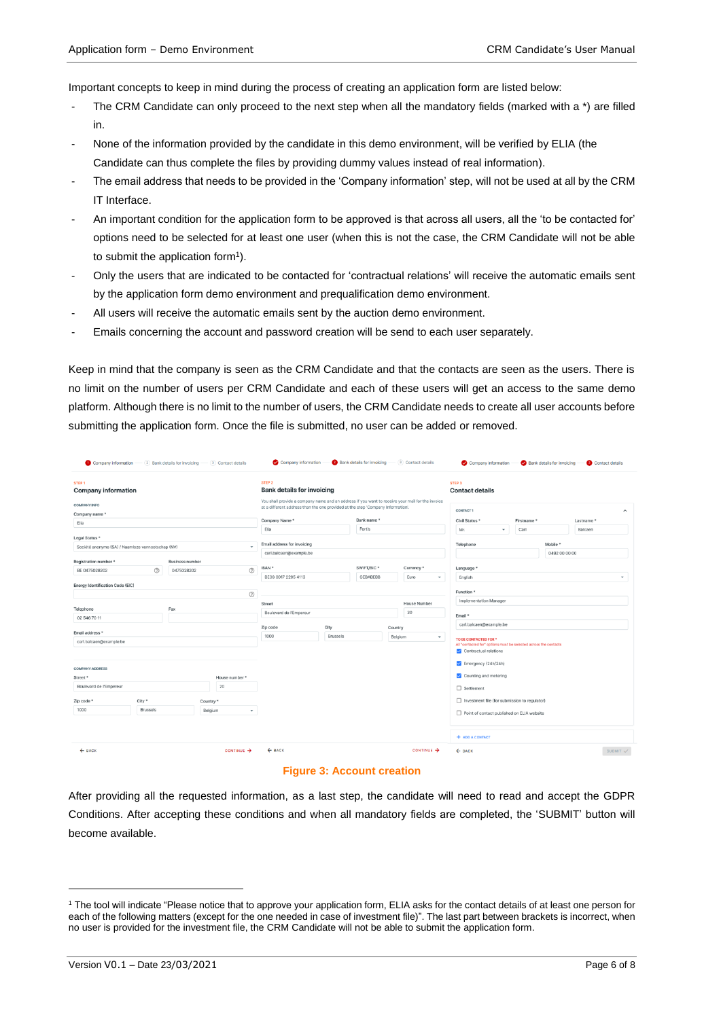Important concepts to keep in mind during the process of creating an application form are listed below:

- The CRM Candidate can only proceed to the next step when all the mandatory fields (marked with a \*) are filled in.
- None of the information provided by the candidate in this demo environment, will be verified by ELIA (the Candidate can thus complete the files by providing dummy values instead of real information).
- The email address that needs to be provided in the 'Company information' step, will not be used at all by the CRM IT Interface.
- An important condition for the application form to be approved is that across all users, all the 'to be contacted for' options need to be selected for at least one user (when this is not the case, the CRM Candidate will not be able to submit the application form<sup>1</sup>).
- Only the users that are indicated to be contacted for 'contractual relations' will receive the automatic emails sent by the application form demo environment and prequalification demo environment.
- All users will receive the automatic emails sent by the auction demo environment.
- Emails concerning the account and password creation will be send to each user separately.

Keep in mind that the company is seen as the CRM Candidate and that the contacts are seen as the users. There is no limit on the number of users per CRM Candidate and each of these users will get an access to the same demo platform. Although there is no limit to the number of users, the CRM Candidate needs to create all user accounts before submitting the application form. Once the file is submitted, no user can be added or removed.

| Company information - (2) Bank details for invoicing - (3) Contact details       |                 |                                                        |          |                               |                                                                                                                                                                                     | Company information                                    |            |                    |                        | <b>2</b> Bank details for invoicing (3) Contact details                                   |                                 | Company information                           |                |      | Bank details for invoicing |         | Contact details     |
|----------------------------------------------------------------------------------|-----------------|--------------------------------------------------------|----------|-------------------------------|-------------------------------------------------------------------------------------------------------------------------------------------------------------------------------------|--------------------------------------------------------|------------|--------------------|------------------------|-------------------------------------------------------------------------------------------|---------------------------------|-----------------------------------------------|----------------|------|----------------------------|---------|---------------------|
| <b>STEP1</b><br><b>Company information</b>                                       |                 |                                                        |          |                               |                                                                                                                                                                                     | STEP <sub>2</sub><br><b>Bank details for invoicing</b> |            |                    |                        |                                                                                           | STEP <sub>3</sub>               | <b>Contact details</b>                        |                |      |                            |         |                     |
| <b>COMPANY INFO</b><br>Company name *                                            |                 |                                                        |          |                               | You shall provide a company name and an address if you want to receive your mail for the invoice<br>at a different address than the one provided at the step 'Company Information'. |                                                        |            |                    |                        |                                                                                           | CONTACT1<br>$\hat{\phantom{a}}$ |                                               |                |      |                            |         |                     |
| Elia                                                                             |                 |                                                        |          |                               |                                                                                                                                                                                     | Company Name*                                          | Bank name* |                    |                        |                                                                                           | Civil Status *                  |                                               | Firstname *    |      | Lastname *                 |         |                     |
|                                                                                  |                 |                                                        |          |                               |                                                                                                                                                                                     | Elia                                                   |            | Fortis             |                        |                                                                                           | Mr.                             |                                               | $\blacksquare$ | Carl |                            | Balcaen |                     |
| Legal Status *<br>Société anonyme (SA) / Naamloze vennootschap (NV)<br>$\ddot{}$ |                 |                                                        |          |                               | Email address for invoicing                                                                                                                                                         |                                                        |            |                    |                        | Mobile *<br>Telephone                                                                     |                                 |                                               |                |      |                            |         |                     |
| Registration number *                                                            |                 |                                                        |          |                               |                                                                                                                                                                                     | carl.balcaen@example.be                                |            |                    |                        |                                                                                           | 0492 00 00 00                   |                                               |                |      |                            |         |                     |
| BE 0475028202                                                                    | $\circledR$     | <b>Business number</b><br>$\circledcirc$<br>0475028202 |          |                               |                                                                                                                                                                                     | IBAN *                                                 |            | SWIFT/BIC *        |                        | Currency *                                                                                |                                 | Language *                                    |                |      |                            |         |                     |
|                                                                                  |                 |                                                        |          |                               | BE08 0017 2295 4113                                                                                                                                                                 | <b>GEBABEBB</b>                                        |            | Euro<br>$\check{}$ | English                |                                                                                           |                                 |                                               |                |      | $\mathbf{v}$               |         |                     |
| Energy Identification Code (EIC)                                                 |                 |                                                        |          |                               |                                                                                                                                                                                     |                                                        |            |                    |                        |                                                                                           |                                 |                                               |                |      |                            |         |                     |
|                                                                                  |                 |                                                        |          |                               | $^{\circledR}$                                                                                                                                                                      |                                                        |            |                    |                        |                                                                                           |                                 | Function <sup>*</sup>                         |                |      |                            |         |                     |
| Telephone<br>Fax                                                                 |                 |                                                        |          | <b>House Number</b><br>Street |                                                                                                                                                                                     |                                                        |            |                    | Implementation Manager |                                                                                           |                                 |                                               |                |      |                            |         |                     |
| 02 546 70 11                                                                     |                 |                                                        |          |                               | Boulevard de l'Empereur                                                                                                                                                             |                                                        |            |                    | 20                     | Email *                                                                                   |                                 |                                               |                |      |                            |         |                     |
|                                                                                  |                 |                                                        |          | Zip code<br>City<br>Country   |                                                                                                                                                                                     |                                                        |            |                    |                        | carl.balcaen@example.be                                                                   |                                 |                                               |                |      |                            |         |                     |
| Email address *<br>carl.balcaen@example.be                                       |                 |                                                        |          | 1000                          | Brussels                                                                                                                                                                            | Belgium<br>۰                                           |            |                    |                        | TO BE CONTACTED FOR *                                                                     |                                 |                                               |                |      |                            |         |                     |
|                                                                                  |                 |                                                        |          |                               |                                                                                                                                                                                     |                                                        |            |                    |                        | All "contacted for" options must be selected across the contacts<br>Contractual relations |                                 |                                               |                |      |                            |         |                     |
| <b>COMPANY ADDRESS</b>                                                           |                 |                                                        |          |                               |                                                                                                                                                                                     |                                                        |            |                    |                        | $\blacksquare$ Emergency (24h/24h)                                                        |                                 |                                               |                |      |                            |         |                     |
| Street *<br>House number *                                                       |                 |                                                        |          |                               |                                                                                                                                                                                     |                                                        |            |                    |                        | Counting and metering                                                                     |                                 |                                               |                |      |                            |         |                     |
| 20<br>Boulevard de l'Empereur                                                    |                 |                                                        |          |                               |                                                                                                                                                                                     |                                                        |            |                    |                        | □ Settlement                                                                              |                                 |                                               |                |      |                            |         |                     |
|                                                                                  |                 |                                                        |          |                               |                                                                                                                                                                                     |                                                        |            |                    |                        |                                                                                           |                                 |                                               |                |      |                            |         |                     |
| Zip code *                                                                       | City *          |                                                        | Country* |                               |                                                                                                                                                                                     |                                                        |            |                    |                        |                                                                                           |                                 | Investment file (for submission to regulator) |                |      |                            |         |                     |
| 1000                                                                             | <b>Brussels</b> |                                                        | Belgium  |                               | ۰                                                                                                                                                                                   |                                                        |            |                    |                        |                                                                                           |                                 | Point of contact published on ELIA website    |                |      |                            |         |                     |
|                                                                                  |                 |                                                        |          |                               |                                                                                                                                                                                     |                                                        |            |                    |                        |                                                                                           |                                 |                                               |                |      |                            |         |                     |
|                                                                                  |                 |                                                        |          |                               |                                                                                                                                                                                     |                                                        |            |                    |                        |                                                                                           |                                 | + ADD A CONTACT                               |                |      |                            |         |                     |
| $\leftarrow$ BACK                                                                |                 |                                                        |          | CONTINUE >                    |                                                                                                                                                                                     | $\leftarrow$ BACK                                      |            |                    |                        | CONTINUE >                                                                                | $\leftarrow$ BACK               |                                               |                |      |                            |         | SUBMIT <sub>V</sub> |

#### **Figure 3: Account creation**

After providing all the requested information, as a last step, the candidate will need to read and accept the GDPR Conditions. After accepting these conditions and when all mandatory fields are completed, the 'SUBMIT' button will become available.

-

<sup>1</sup> The tool will indicate "Please notice that to approve your application form, ELIA asks for the contact details of at least one person for each of the following matters (except for the one needed in case of investment file)". The last part between brackets is incorrect, when no user is provided for the investment file, the CRM Candidate will not be able to submit the application form.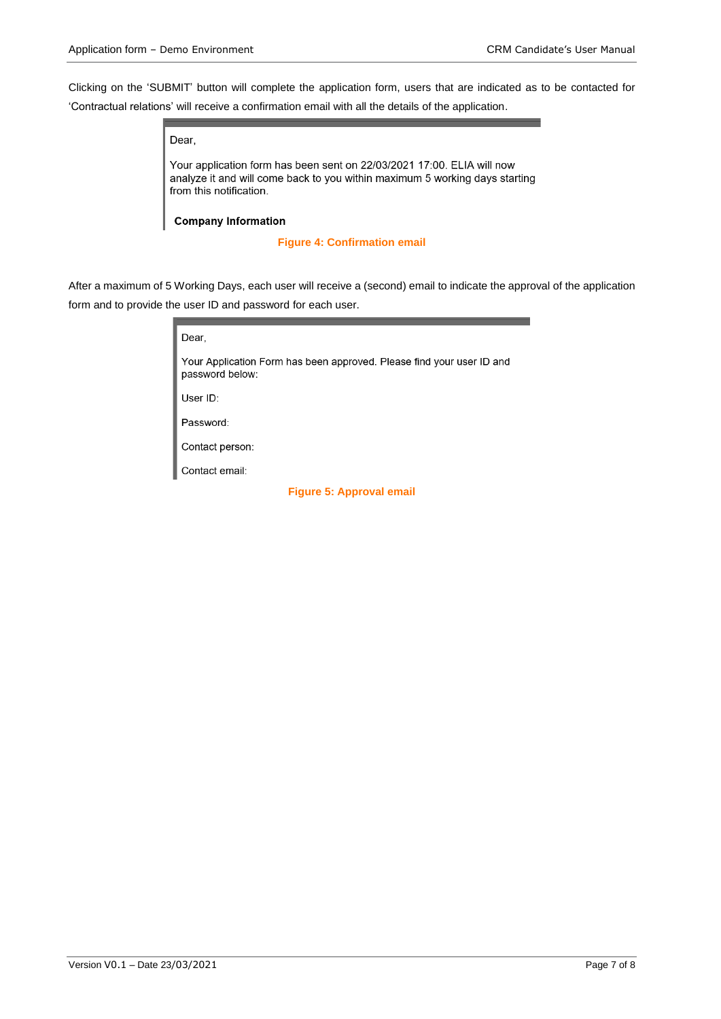Clicking on the 'SUBMIT' button will complete the application form, users that are indicated as to be contacted for 'Contractual relations' will receive a confirmation email with all the details of the application.

Dear.

Your application form has been sent on 22/03/2021 17:00. ELIA will now analyze it and will come back to you within maximum 5 working days starting from this notification.

**Company Information** 

**Figure 4: Confirmation email**

After a maximum of 5 Working Days, each user will receive a (second) email to indicate the approval of the application form and to provide the user ID and password for each user.

| Dear.                                                                                    |  |  |  |  |
|------------------------------------------------------------------------------------------|--|--|--|--|
| Your Application Form has been approved. Please find your user ID and<br>password below: |  |  |  |  |
| User $ID$ :                                                                              |  |  |  |  |
| Password:                                                                                |  |  |  |  |
| Contact person:                                                                          |  |  |  |  |
| Contact email:                                                                           |  |  |  |  |
| <b>Figure 5: Approval email</b>                                                          |  |  |  |  |